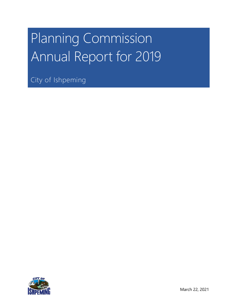# Planning Commission Annual Report for 2019

City of Ishpeming

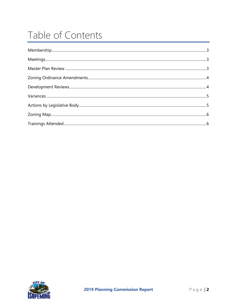## Table of Contents

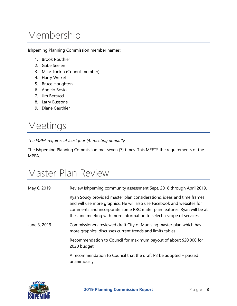## <span id="page-2-0"></span>Membership

Ishpeming Planning Commission member names:

- 1. Brook Routhier
- 2. Gabe Seelen
- 3. Mike Tonkin (Council member)
- 4. Harry Weikel
- 5. Bruce Houghton
- 6. Angelo Bosio
- 7. Jim Bertucci
- 8. Larry Bussone
- 9. Diane Gauthier

#### <span id="page-2-1"></span>Meetings

*The MPEA requires at least four (4) meeting annually.*

The Ishpeming Planning Commission met seven (7) times. This MEETS the requirements of the MPEA.

#### <span id="page-2-2"></span>Master Plan Review

| May 6, 2019  | Review Ishpeming community assessment Sept. 2018 through April 2019.                                                                                                                                                                                                                               |
|--------------|----------------------------------------------------------------------------------------------------------------------------------------------------------------------------------------------------------------------------------------------------------------------------------------------------|
|              | Ryan Soucy provided master plan considerations, ideas and time frames<br>and will use more graphics. He will also use Facebook and websites for<br>comments and incorporate some RRC mater plan features. Ryan will be at<br>the June meeting with more information to select a scope of services. |
| June 3, 2019 | Commissioners reviewed draft City of Munising master plan which has<br>more graphics, discusses current trends and limits tables.                                                                                                                                                                  |
|              | Recommendation to Council for maximum payout of about \$20,000 for<br>2020 budget.                                                                                                                                                                                                                 |
|              | A recommendation to Council that the draft P3 be adopted – passed<br>unanimously.                                                                                                                                                                                                                  |

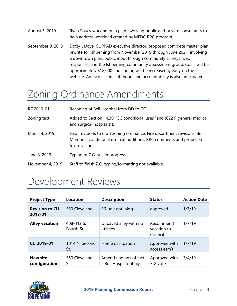- August 5, 2019 Ryan Soucy working on a plan involving public and private consultants to help address workload created by MEDC RRC program.
- September 9, 2019 Dotty LaJoye, CUPPAD executive director, proposed complete master plan rewrite for Ishpeming from November 2019 through June 2021, involving a downtown plan, public input through community surveys, web responses, and the Ishpeming community assessment group. Costs will be approximately \$18,000 and zoning will be increased greatly on the website. An increase in staff hours and accountability is also anticipated.

#### <span id="page-3-0"></span>Zoning Ordinance Amendments

| RZ 2019-01       | Rezoning of Bell Hospital from DD to GC                                                                                                                             |
|------------------|---------------------------------------------------------------------------------------------------------------------------------------------------------------------|
| Zoning text      | Added to Section 14.3D (GC conditional uses "and (6221) general medical<br>and surgical hospitals").                                                                |
| March 4, 2019    | Final revisions to draft zoning ordinance: Fire department revisions, Bell<br>Memorial conditional use text additions, RRC comments and proposed<br>text revisions. |
| June 3, 2019     | Typing of Z.O. still in progress.                                                                                                                                   |
| November 4, 2019 | Staff to finish Z.O. typing/formatting not available.                                                                                                               |

### <span id="page-3-1"></span>Development Reviews

| <b>Project Type</b>              | <b>Location</b>          | <b>Description</b>                               | <b>Status</b>                       | <b>Action Date</b> |
|----------------------------------|--------------------------|--------------------------------------------------|-------------------------------------|--------------------|
| <b>Revision to CU</b><br>2017-01 | 550 Cleveland            | 36-unit apt. bldg                                | approved                            | 1/7/19             |
| <b>Alley vacation</b>            | 408-412 S.<br>Fourth St. | Unpaved alley with no<br>utilities               | Recommend<br>vacation to<br>Council | 1/7/19             |
| <b>CU 2019-01</b>                | 1014 N. Second<br>St.    | Home occupation                                  | Approved with<br>access esm't       | 1/7/19             |
| <b>New site</b><br>configuration | 550 Cleveland<br>St.     | Amend findings of fact<br>- Bell Hosp'l footings | Approved with<br>5-2 vote           | 3/4/19             |

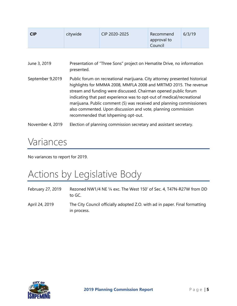| CIP 2020-2025<br>6/3/19<br><b>CIP</b><br>citywide<br>Recommend<br>approval to<br>Council |
|------------------------------------------------------------------------------------------|
|------------------------------------------------------------------------------------------|

| June 3, 2019     | Presentation of "Three Sons" project on Hematite Drive, no information<br>presented.                                                                                                                                                                                                                                                                                                                                                                                         |
|------------------|------------------------------------------------------------------------------------------------------------------------------------------------------------------------------------------------------------------------------------------------------------------------------------------------------------------------------------------------------------------------------------------------------------------------------------------------------------------------------|
| September 9,2019 | Public forum on recreational marijuana. City attorney presented historical<br>highlights for MMMA 2008, MMFLA 2008 and MRTMD 2015. The revenue<br>stream and funding were discussed. Chairman opened public forum<br>indicating that past experience was to opt-out of medical/recreational<br>marijuana. Public comment (5) was received and planning commissioners<br>also commented. Upon discussion and vote, planning commission<br>recommended that Ishpeming opt-out. |

<span id="page-4-0"></span>November 4, 2019 Election of planning commission secretary and assistant secretary.

#### Variances

<span id="page-4-1"></span>No variances to report for 2019.

## Actions by Legislative Body

February 27, 2019 Rezoned NW1/4 NE ¼ exc. The West 150' of Sec. 4, T47N-R27W from DD to GC. April 24, 2019 The City Council officially adopted Z.O. with ad in paper. Final formatting in process.